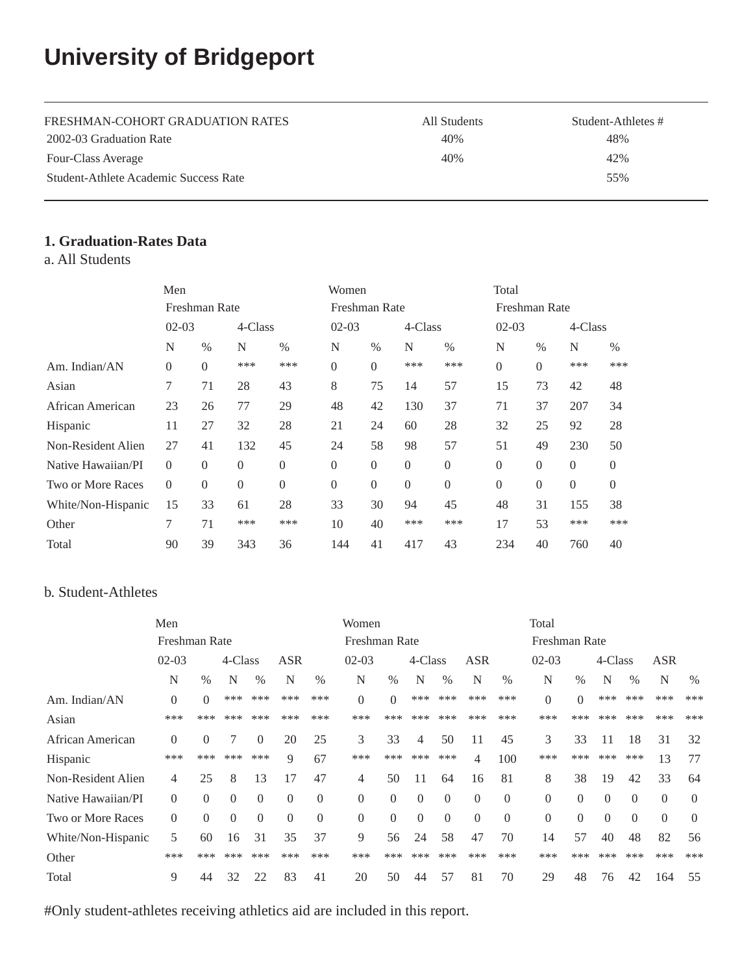# **University of Bridgeport**

| FRESHMAN-COHORT GRADUATION RATES      | All Students | Student-Athletes # |
|---------------------------------------|--------------|--------------------|
| 2002-03 Graduation Rate               | 40%          | 48%                |
| Four-Class Average                    | 40%          | 42%                |
| Student-Athlete Academic Success Rate |              | 55%                |

### **1. Graduation-Rates Data**

a. All Students

|                    | Men       |                |          |                |                | Women<br>Freshman Rate |              |          |                | Total            |                |          |  |  |
|--------------------|-----------|----------------|----------|----------------|----------------|------------------------|--------------|----------|----------------|------------------|----------------|----------|--|--|
|                    |           | Freshman Rate  |          |                |                |                        |              |          |                | Freshman Rate    |                |          |  |  |
|                    | $02 - 03$ |                | 4-Class  |                | $02 - 03$      |                        |              | 4-Class  |                | $02 - 03$        |                | 4-Class  |  |  |
|                    | N         | $\%$           | N        | $\%$           | N              | $\%$                   | N            | $\%$     | N              | $\%$             | N              | $\%$     |  |  |
| Am. Indian/ $AN$   | $\theta$  | 0              | ***      | ***            | $\overline{0}$ | $\theta$               | ***          | ***      | $\overline{0}$ | $\overline{0}$   | ***            | ***      |  |  |
| Asian              | 7         | 71             | 28       | 43             | 8              | 75                     | 14           | 57       | 15             | 73               | 42             | 48       |  |  |
| African American   | 23        | 26             | 77       | 29             | 48             | 42                     | 130          | 37       | 71             | 37               | 207            | 34       |  |  |
| Hispanic           | 11        | 27             | 32       | 28             | 21             | 24                     | 60           | 28       | 32             | 25               | 92             | 28       |  |  |
| Non-Resident Alien | 27        | 41             | 132      | 45             | 24             | 58                     | 98           | 57       | 51             | 49               | 230            | 50       |  |  |
| Native Hawaiian/PI | $\Omega$  | $\overline{0}$ | $\Omega$ | $\overline{0}$ | $\Omega$       | $\theta$               | $\mathbf{0}$ | $\Omega$ | $\overline{0}$ | $\boldsymbol{0}$ | $\overline{0}$ | $\Omega$ |  |  |
| Two or More Races  | $\Omega$  | $\Omega$       | $\Omega$ | $\overline{0}$ | $\Omega$       | $\overline{0}$         | $\mathbf{0}$ | $\theta$ | $\Omega$       | $\Omega$         | $\theta$       | $\Omega$ |  |  |
| White/Non-Hispanic | 15        | 33             | 61       | 28             | 33             | 30                     | 94           | 45       | 48             | 31               | 155            | 38       |  |  |
| Other              | 7         | 71             | ***      | ***            | 10             | 40                     | ***          | ***      | 17             | 53               | ***            | ***      |  |  |
| Total              | 90        | 39             | 343      | 36             | 144            | 41                     | 417          | 43       | 234            | 40               | 760            | 40       |  |  |

#### b. Student-Athletes

|                    | Men            |          |          |          |            |               | Women     |          |          |            |          |               | Total    |               |          |            |                |                |
|--------------------|----------------|----------|----------|----------|------------|---------------|-----------|----------|----------|------------|----------|---------------|----------|---------------|----------|------------|----------------|----------------|
|                    | Freshman Rate  |          |          |          |            | Freshman Rate |           |          |          |            |          | Freshman Rate |          |               |          |            |                |                |
|                    | $02 - 03$      |          | 4-Class  |          | <b>ASR</b> |               | $02 - 03$ | 4-Class  |          | <b>ASR</b> |          | $02 - 03$     |          | 4-Class       |          | <b>ASR</b> |                |                |
|                    | N              | $\%$     | N        | $\%$     | N          | $\%$          | N         | $\%$     | N        | $\%$       | N        | $\frac{0}{0}$ | N        | $\frac{0}{0}$ | N        | %          | N              | $\%$           |
| Am. Indian/AN      | $\overline{0}$ | $\Omega$ | ***      | ***      | ***        | ***           | $\Omega$  | $\Omega$ | ***      | ***        | ***      | ***           | $\theta$ | $\Omega$      | ***      | ***        | ***            | ***            |
| Asian              | ***            | ***      | ***      | ***      | ***        | ***           | ***       | ***      | ***      | ***        | ***      | ***           | ***      | ***           | ***      | ***        | ***            | ***            |
| African American   | $\overline{0}$ | $\Omega$ |          | $\Omega$ | 20         | 25            | 3         | 33       | 4        | 50         | 11       | 45            | 3        | 33            | 11       | 18         | 31             | 32             |
| Hispanic           | ***            | ***      | ***      | ***      | 9          | 67            | ***       | ***      | ***      | ***        | 4        | 100           | ***      | ***           | ***      | ***        | 13             | 77             |
| Non-Resident Alien | 4              | 25       | 8        | 13       | 17         | 47            | 4         | 50       | 11       | 64         | 16       | 81            | 8        | 38            | 19       | 42         | 33             | 64             |
| Native Hawaiian/PI | $\overline{0}$ | $\Omega$ | $\Omega$ | $\theta$ | $\Omega$   | $\theta$      | $\Omega$  | $\Omega$ | $\Omega$ | $\Omega$   | $\Omega$ | $\Omega$      | $\theta$ | $\Omega$      | $\Omega$ | $\Omega$   | $\Omega$       | $\overline{0}$ |
| Two or More Races  | $\theta$       | $\Omega$ | $\Omega$ | $\Omega$ | $\Omega$   | $\Omega$      | $\Omega$  | $\Omega$ | $\Omega$ | $\Omega$   | $\Omega$ | $\Omega$      | $\theta$ | $\Omega$      | $\Omega$ | $\Omega$   | $\overline{0}$ | $\theta$       |
| White/Non-Hispanic | 5              | 60       | 16       | 31       | 35         | 37            | 9         | 56       | 24       | 58         | 47       | 70            | 14       | 57            | 40       | 48         | 82             | 56             |
| Other              | ***            | ***      | ***      | ***      | ***        | ***           | ***       | ***      | ***      | ***        | ***      | ***           | ***      | ***           | ***      | ***        | ***            | ***            |
| Total              | 9              | 44       | 32       | 22       | 83         | 41            | 20        | 50       | 44       | 57         | 81       | 70            | 29       | 48            | 76       | 42         | 164            | 55             |

#Only student-athletes receiving athletics aid are included in this report.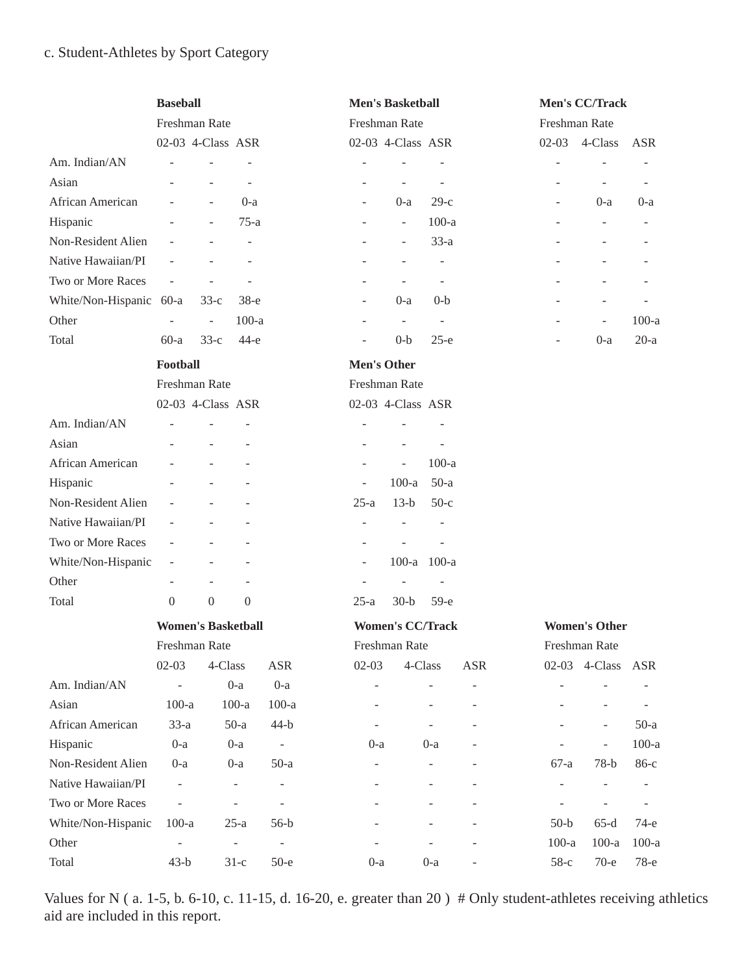# c. Student-Athletes by Sport Category

|                         | <b>Baseball</b><br>Freshman Rate |                          |                              | <b>Men's Basketball</b>  |                          | Men's CC/Track<br>Freshman Rate |                          |            |                          |                              |                          |
|-------------------------|----------------------------------|--------------------------|------------------------------|--------------------------|--------------------------|---------------------------------|--------------------------|------------|--------------------------|------------------------------|--------------------------|
|                         |                                  |                          |                              | Freshman Rate            |                          |                                 |                          |            |                          |                              |                          |
|                         | 02-03 4-Class ASR                |                          |                              |                          |                          | 02-03 4-Class ASR               |                          |            | $02-03$                  | 4-Class                      | <b>ASR</b>               |
| Am. Indian/AN           |                                  | $\overline{a}$           | ÷,                           |                          | $\overline{a}$           | $\overline{a}$                  | $\overline{a}$           |            | $\overline{\phantom{a}}$ | $\bar{\phantom{a}}$          | $\overline{\phantom{0}}$ |
| Asian                   |                                  | ÷,                       |                              |                          |                          |                                 |                          |            |                          | $\qquad \qquad \blacksquare$ |                          |
| African American        |                                  | ÷,                       | $0-a$                        |                          | L.                       | $0-a$                           | $29-c$                   |            |                          | $0-a$                        | $0-a$                    |
| Hispanic                |                                  | $\overline{\phantom{a}}$ | $75-a$                       |                          |                          | $\overline{\phantom{a}}$        | $100-a$                  |            |                          | $\bar{\phantom{a}}$          |                          |
| Non-Resident Alien      |                                  |                          | L.                           |                          |                          | $\overline{\phantom{a}}$        | $33-a$                   |            |                          | ÷                            |                          |
| Native Hawaiian/PI      |                                  |                          |                              |                          |                          |                                 | $\overline{\phantom{a}}$ |            |                          | $\overline{a}$               |                          |
| Two or More Races       |                                  |                          |                              |                          |                          |                                 |                          |            |                          |                              |                          |
| White/Non-Hispanic 60-a |                                  | $33-c$                   | $38-e$                       |                          |                          | $0-a$                           | $0-b$                    |            |                          | L,                           |                          |
| Other                   |                                  | $\overline{\phantom{a}}$ | $100-a$                      |                          | $\overline{\phantom{a}}$ | $\overline{\phantom{a}}$        | $\overline{\phantom{a}}$ |            |                          | $\overline{\phantom{a}}$     | $100-a$                  |
| Total                   | $60-a$                           | $33-c$                   | $44-e$                       |                          | L,                       | $0-b$                           | $25-e$                   |            |                          | $0-a$                        | $20-a$                   |
|                         | Football                         |                          |                              |                          | <b>Men's Other</b>       |                                 |                          |            |                          |                              |                          |
|                         | Freshman Rate                    |                          |                              |                          |                          | Freshman Rate                   |                          |            |                          |                              |                          |
|                         | 02-03 4-Class ASR                |                          |                              |                          |                          | 02-03 4-Class ASR               |                          |            |                          |                              |                          |
| Am. Indian/AN           |                                  |                          |                              |                          | $\overline{a}$           | ÷                               |                          |            |                          |                              |                          |
| Asian                   |                                  |                          |                              |                          |                          |                                 |                          |            |                          |                              |                          |
| African American        |                                  |                          |                              |                          |                          | $\overline{\phantom{a}}$        | $100-a$                  |            |                          |                              |                          |
| Hispanic                |                                  |                          |                              |                          | $\overline{\phantom{a}}$ | $100-a$                         | $50-a$                   |            |                          |                              |                          |
| Non-Resident Alien      |                                  |                          |                              |                          | $25-a$                   | $13-b$                          | $50-c$                   |            |                          |                              |                          |
| Native Hawaiian/PI      |                                  |                          |                              |                          | L,                       |                                 |                          |            |                          |                              |                          |
| Two or More Races       | $\overline{\phantom{a}}$         | $\overline{\phantom{m}}$ |                              |                          |                          |                                 | $\overline{\phantom{m}}$ |            |                          |                              |                          |
| White/Non-Hispanic      | $\blacksquare$                   |                          |                              |                          | $\overline{\phantom{a}}$ | 100-a 100-a                     |                          |            |                          |                              |                          |
| Other                   |                                  | ÷,                       |                              |                          | $\overline{\phantom{a}}$ |                                 |                          |            |                          |                              |                          |
| Total                   | $\overline{0}$                   | $\boldsymbol{0}$         | $\boldsymbol{0}$             |                          | $25-a$                   | $30-b$                          | $59-e$                   |            |                          |                              |                          |
|                         | <b>Women's Basketball</b>        |                          |                              |                          |                          | <b>Women's CC/Track</b>         |                          |            |                          | <b>Women's Other</b>         |                          |
|                         | Freshman Rate                    |                          |                              |                          |                          | Freshman Rate                   |                          |            | Freshman Rate            |                              |                          |
|                         | $02-03$                          | 4-Class                  |                              | <b>ASR</b>               | $02-03$                  | 4-Class                         |                          | <b>ASR</b> |                          | 02-03 4-Class                | ASR                      |
| Am. Indian/AN           | $\overline{\phantom{a}}$         |                          | $0-a$                        | $0-a$                    | $\overline{\phantom{a}}$ |                                 | ÷,                       |            |                          |                              |                          |
| Asian                   | $100-a$                          |                          | $100-a$                      | $100-a$                  | $\overline{a}$           |                                 | ÷,                       | ÷          |                          | ÷                            |                          |
| African American        | $33-a$                           |                          | $50-a$                       | $44-b$                   |                          |                                 |                          |            |                          | ÷,                           | $50-a$                   |
| Hispanic                | $0-a$                            |                          | $0-a$                        |                          | $0-a$                    |                                 | $0-a$                    |            |                          |                              | $100-a$                  |
| Non-Resident Alien      | $0-a$                            |                          | $0-a$                        | $50-a$                   |                          |                                 |                          |            | $67-a$                   | $78-b$                       | $86-c$                   |
| Native Hawaiian/PI      | $\qquad \qquad \blacksquare$     |                          | $\qquad \qquad -$            | $\overline{\phantom{m}}$ |                          |                                 |                          |            | ÷                        |                              |                          |
| Two or More Races       | $\frac{1}{2}$                    |                          | $\overline{\phantom{a}}$     | $\overline{\phantom{a}}$ |                          |                                 |                          |            |                          | ٠                            |                          |
| White/Non-Hispanic      | $100-a$                          |                          | $25-a$                       | $56-b$                   |                          |                                 |                          |            | $50-b$                   | $65-d$                       | $74-e$                   |
| Other                   | $\qquad \qquad \blacksquare$     |                          | $\qquad \qquad \blacksquare$ | $\Box$                   |                          |                                 |                          |            | $100-a$                  | $100-a$                      | $100-a$                  |
| Total                   | $43-b$                           |                          | $31-c$                       | $50-e$                   | $0-a$                    |                                 | $0-a$                    |            | $58-c$                   | $70-e$                       | 78-е                     |

Values for N ( a. 1-5, b. 6-10, c. 11-15, d. 16-20, e. greater than 20 ) # Only student-athletes receiving athletics aid are included in this report.